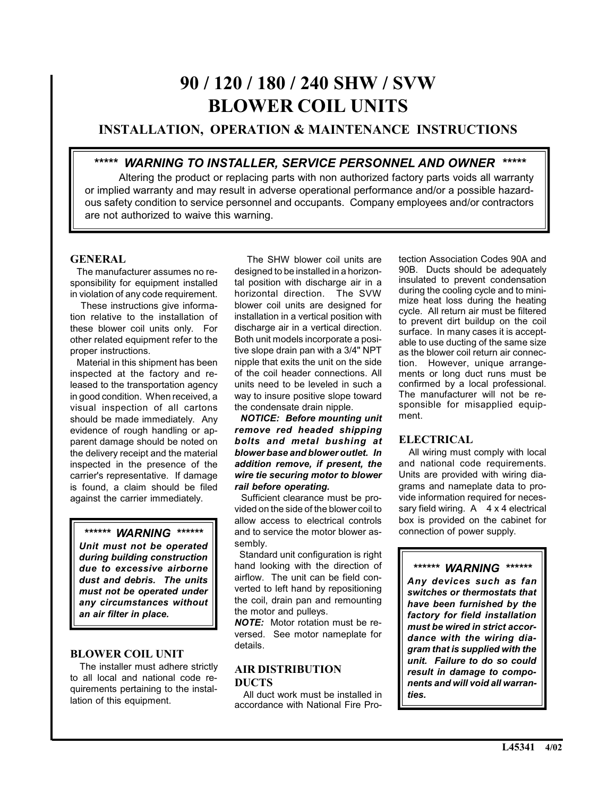# **90 / 120 / 180 / 240 SHW / SVW BLOWER COIL UNITS**

# **INSTALLATION, OPERATION & MAINTENANCE INSTRUCTIONS**

# *\*\*\*\*\* WARNING TO INSTALLER, SERVICE PERSONNEL AND OWNER \*\*\*\*\**

Altering the product or replacing parts with non authorized factory parts voids all warranty or implied warranty and may result in adverse operational performance and/or a possible hazardous safety condition to service personnel and occupants. Company employees and/or contractors are not authorized to waive this warning.

## **GENERAL**

 The manufacturer assumes no responsibility for equipment installed in violation of any code requirement.

 These instructions give information relative to the installation of these blower coil units only. For other related equipment refer to the proper instructions.

 Material in this shipment has been inspected at the factory and released to the transportation agency in good condition. When received, a visual inspection of all cartons should be made immediately. Any evidence of rough handling or apparent damage should be noted on the delivery receipt and the material inspected in the presence of the carrier's representative. If damage is found, a claim should be filed against the carrier immediately.

# *\*\*\*\*\*\* WARNING \*\*\*\*\*\**

*Unit must not be operated during building construction due to excessive airborne dust and debris. The units must not be operated under any circumstances without an air filter in place.*

#### **BLOWER COIL UNIT**

 The installer must adhere strictly to all local and national code requirements pertaining to the installation of this equipment.

 The SHW blower coil units are designed to be installed in a horizontal position with discharge air in a horizontal direction. The SVW blower coil units are designed for installation in a vertical position with discharge air in a vertical direction. Both unit models incorporate a positive slope drain pan with a 3/4" NPT nipple that exits the unit on the side of the coil header connections. All units need to be leveled in such a way to insure positive slope toward the condensate drain nipple.

 *NOTICE: Before mounting unit remove red headed shipping bolts and metal bushing at blower base and blower outlet. In addition remove, if present, the wire tie securing motor to blower rail before operating.*

 Sufficient clearance must be provided on the side of the blower coil to allow access to electrical controls and to service the motor blower assembly.

Standard unit configuration is right hand looking with the direction of airflow. The unit can be field converted to left hand by repositioning the coil, drain pan and remounting the motor and pulleys.

*NOTE:* Motor rotation must be reversed. See motor nameplate for details.

### **AIR DISTRIBUTION DUCTS**

 All duct work must be installed in accordance with National Fire Protection Association Codes 90A and 90B. Ducts should be adequately insulated to prevent condensation during the cooling cycle and to minimize heat loss during the heating cycle. All return air must be filtered to prevent dirt buildup on the coil surface. In many cases it is acceptable to use ducting of the same size as the blower coil return air connection. However, unique arrangements or long duct runs must be confirmed by a local professional. The manufacturer will not be responsible for misapplied equipment.

# **ELECTRICAL**

 All wiring must comply with local and national code requirements. Units are provided with wiring diagrams and nameplate data to provide information required for necessary field wiring.  $A \times 4$  electrical box is provided on the cabinet for connection of power supply.

*\*\*\*\*\*\* WARNING \*\*\*\*\*\* Any devices such as fan switches or thermostats that have been furnished by the factory for field installation must be wired in strict accordance with the wiring diagram that is supplied with the unit. Failure to do so could result in damage to components and will void all warranties.*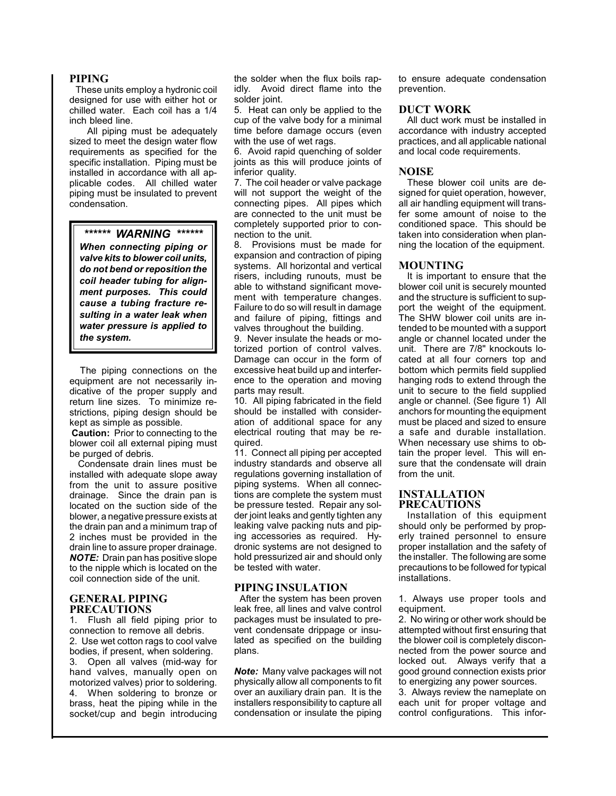#### **PIPING**

 These units employ a hydronic coil designed for use with either hot or chilled water. Each coil has a 1/4 inch bleed line.

 All piping must be adequately sized to meet the design water flow requirements as specified for the specific installation. Piping must be installed in accordance with all applicable codes. All chilled water piping must be insulated to prevent condensation.

*\*\*\*\*\*\* WARNING \*\*\*\*\*\**

*When connecting piping or valve kits to blower coil units, do not bend or reposition the coil header tubing for alignment purposes. This could cause a tubing fracture resulting in a water leak when water pressure is applied to the system.*

 The piping connections on the equipment are not necessarily indicative of the proper supply and return line sizes. To minimize restrictions, piping design should be kept as simple as possible.

**Caution:** Prior to connecting to the blower coil all external piping must be purged of debris.

 Condensate drain lines must be installed with adequate slope away from the unit to assure positive drainage. Since the drain pan is located on the suction side of the blower, a negative pressure exists at the drain pan and a minimum trap of 2 inches must be provided in the drain line to assure proper drainage. *NOTE:* Drain pan has positive slope to the nipple which is located on the coil connection side of the unit.

#### **GENERAL PIPING PRECAUTIONS**

1. Flush all field piping prior to connection to remove all debris. 2. Use wet cotton rags to cool valve bodies, if present, when soldering. 3. Open all valves (mid-way for hand valves, manually open on motorized valves) prior to soldering. 4. When soldering to bronze or brass, heat the piping while in the socket/cup and begin introducing

the solder when the flux boils rapidly. Avoid direct flame into the solder joint.

5. Heat can only be applied to the cup of the valve body for a minimal time before damage occurs (even with the use of wet rags.

6. Avoid rapid quenching of solder joints as this will produce joints of inferior quality.

7. The coil header or valve package will not support the weight of the connecting pipes. All pipes which are connected to the unit must be completely supported prior to connection to the unit.

8. Provisions must be made for expansion and contraction of piping systems. All horizontal and vertical risers, including runouts, must be able to withstand significant movement with temperature changes. Failure to do so will result in damage and failure of piping, fittings and valves throughout the building.

9. Never insulate the heads or motorized portion of control valves. Damage can occur in the form of excessive heat build up and interference to the operation and moving parts may result.

10. All piping fabricated in the field should be installed with consideration of additional space for any electrical routing that may be required.

11. Connect all piping per accepted industry standards and observe all regulations governing installation of piping systems. When all connections are complete the system must be pressure tested. Repair any solder joint leaks and gently tighten any leaking valve packing nuts and piping accessories as required. Hydronic systems are not designed to hold pressurized air and should only be tested with water.

#### **PIPING INSULATION**

 After the system has been proven leak free, all lines and valve control packages must be insulated to prevent condensate drippage or insulated as specified on the building plans.

*Note:* Many valve packages will not physically allow all components to fit over an auxiliary drain pan. It is the installers responsibility to capture all condensation or insulate the piping to ensure adequate condensation prevention.

#### **DUCT WORK**

All duct work must be installed in accordance with industry accepted practices, and all applicable national and local code requirements.

#### **NOISE**

These blower coil units are designed for quiet operation, however, all air handling equipment will transfer some amount of noise to the conditioned space. This should be taken into consideration when planning the location of the equipment.

#### **MOUNTING**

It is important to ensure that the blower coil unit is securely mounted and the structure is sufficient to support the weight of the equipment. The SHW blower coil units are intended to be mounted with a support angle or channel located under the unit. There are 7/8" knockouts located at all four corners top and bottom which permits field supplied hanging rods to extend through the unit to secure to the field supplied angle or channel. (See figure 1) All anchors for mounting the equipment must be placed and sized to ensure a safe and durable installation. When necessary use shims to obtain the proper level. This will ensure that the condensate will drain from the unit.

#### **INSTALLATION PRECAUTIONS**

Installation of this equipment should only be performed by properly trained personnel to ensure proper installation and the safety of the installer. The following are some precautions to be followed for typical installations.

1. Always use proper tools and equipment.

2. No wiring or other work should be attempted without first ensuring that the blower coil is completely disconnected from the power source and locked out. Always verify that a good ground connection exists prior to energizing any power sources.

3. Always review the nameplate on each unit for proper voltage and control configurations. This infor-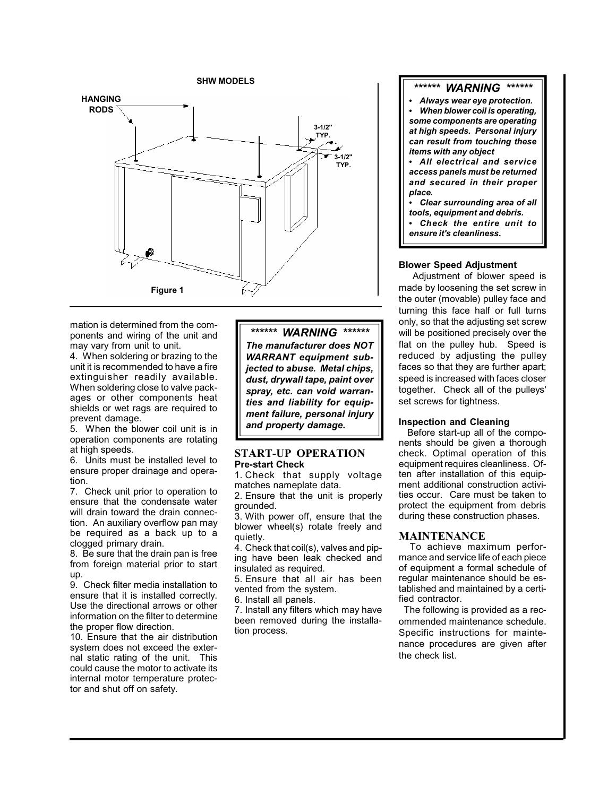

mation is determined from the components and wiring of the unit and may vary from unit to unit.

4. When soldering or brazing to the unit it is recommended to have a fire extinguisher readily available. When soldering close to valve packages or other components heat shields or wet rags are required to prevent damage.

5. When the blower coil unit is in operation components are rotating at high speeds.

6. Units must be installed level to ensure proper drainage and operation.

7. Check unit prior to operation to ensure that the condensate water will drain toward the drain connection. An auxiliary overflow pan may be required as a back up to a clogged primary drain.

8. Be sure that the drain pan is free from foreign material prior to start up.

9. Check filter media installation to ensure that it is installed correctly. Use the directional arrows or other information on the filter to determine the proper flow direction.

10. Ensure that the air distribution system does not exceed the external static rating of the unit. This could cause the motor to activate its internal motor temperature protector and shut off on safety.

*\*\*\*\*\*\* WARNING \*\*\*\*\*\* The manufacturer does NOT WARRANT equipment subjected to abuse. Metal chips, dust, drywall tape, paint over spray, etc. can void warranties and liability for equipment failure, personal injury and property damage.*

#### **START-UP OPERATION Pre-start Check**

1. Check that supply voltage matches nameplate data.

2. Ensure that the unit is properly grounded.

3. With power off, ensure that the blower wheel(s) rotate freely and quietly.

4. Check that coil(s), valves and piping have been leak checked and insulated as required.

5. Ensure that all air has been vented from the system.

6. Install all panels.

7. Install any filters which may have been removed during the installation process.

#### *\*\*\*\*\*\* WARNING \*\*\*\*\*\**

 *Always wear eye protection. When blower coil is operating, some components are operating at high speeds. Personal injury can result from touching these items with any object*

 *All electrical and service access panels must be returned and secured in their proper place.*

 *Clear surrounding area of all tools, equipment and debris.*

 *Check the entire unit to ensure it's cleanliness.*

#### **Blower Speed Adjustment**

 Adjustment of blower speed is made by loosening the set screw in the outer (movable) pulley face and turning this face half or full turns only, so that the adjusting set screw will be positioned precisely over the flat on the pulley hub. Speed is reduced by adjusting the pulley faces so that they are further apart; speed is increased with faces closer together. Check all of the pulleys' set screws for tightness.

#### **Inspection and Cleaning**

Before start-up all of the components should be given a thorough check. Optimal operation of this equipment requires cleanliness. Often after installation of this equipment additional construction activities occur. Care must be taken to protect the equipment from debris during these construction phases.

#### **MAINTENANCE**

 To achieve maximum performance and service life of each piece of equipment a formal schedule of regular maintenance should be established and maintained by a certified contractor.

 The following is provided as a recommended maintenance schedule. Specific instructions for maintenance procedures are given after the check list.